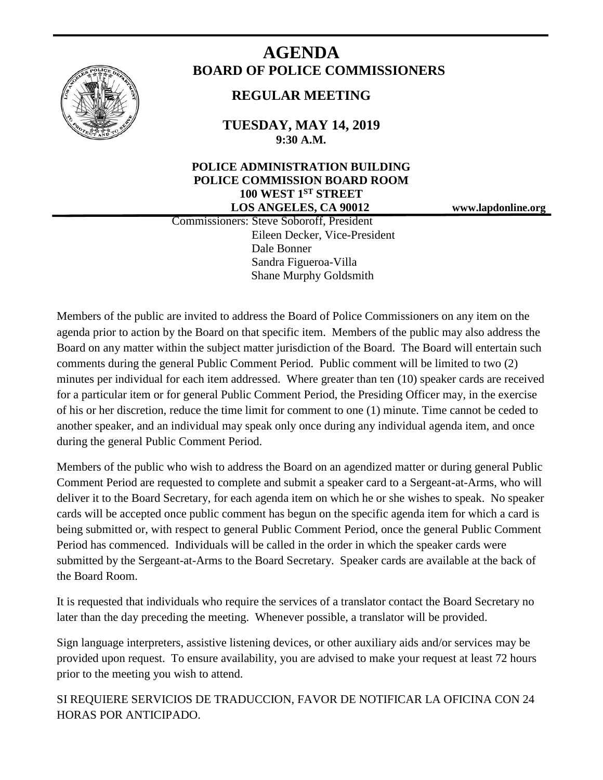

# **AGENDA BOARD OF POLICE COMMISSIONERS**

## **REGULAR MEETING**

**TUESDAY, MAY 14, 2019 9:30 A.M.**

### **POLICE ADMINISTRATION BUILDING POLICE COMMISSION BOARD ROOM 100 WEST 1ST STREET LOS ANGELES, CA 90012 www.lapdonline.org**

 Commissioners: Steve Soboroff, President Eileen Decker, Vice-President Dale Bonner Sandra Figueroa-Villa Shane Murphy Goldsmith

Members of the public are invited to address the Board of Police Commissioners on any item on the agenda prior to action by the Board on that specific item. Members of the public may also address the Board on any matter within the subject matter jurisdiction of the Board. The Board will entertain such comments during the general Public Comment Period. Public comment will be limited to two (2) minutes per individual for each item addressed. Where greater than ten (10) speaker cards are received for a particular item or for general Public Comment Period, the Presiding Officer may, in the exercise of his or her discretion, reduce the time limit for comment to one (1) minute. Time cannot be ceded to another speaker, and an individual may speak only once during any individual agenda item, and once during the general Public Comment Period.

Members of the public who wish to address the Board on an agendized matter or during general Public Comment Period are requested to complete and submit a speaker card to a Sergeant-at-Arms, who will deliver it to the Board Secretary, for each agenda item on which he or she wishes to speak. No speaker cards will be accepted once public comment has begun on the specific agenda item for which a card is being submitted or, with respect to general Public Comment Period, once the general Public Comment Period has commenced. Individuals will be called in the order in which the speaker cards were submitted by the Sergeant-at-Arms to the Board Secretary. Speaker cards are available at the back of the Board Room.

It is requested that individuals who require the services of a translator contact the Board Secretary no later than the day preceding the meeting. Whenever possible, a translator will be provided.

Sign language interpreters, assistive listening devices, or other auxiliary aids and/or services may be provided upon request. To ensure availability, you are advised to make your request at least 72 hours prior to the meeting you wish to attend.

SI REQUIERE SERVICIOS DE TRADUCCION, FAVOR DE NOTIFICAR LA OFICINA CON 24 HORAS POR ANTICIPADO.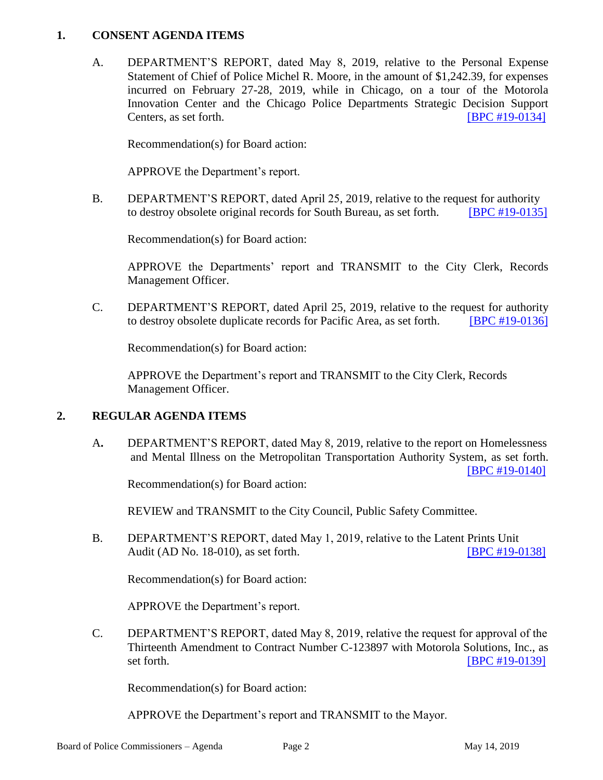#### **1. CONSENT AGENDA ITEMS**

A. DEPARTMENT'S REPORT, dated May 8, 2019, relative to the Personal Expense Statement of Chief of Police Michel R. Moore, in the amount of \$1,242.39, for expenses incurred on February 27-28, 2019, while in Chicago, on a tour of the Motorola Innovation Center and the Chicago Police Departments Strategic Decision Support Centers, as set forth. **IDPC #19-0134** 

Recommendation(s) for Board action:

APPROVE the Department's report.

B. DEPARTMENT'S REPORT, dated April 25, 2019, relative to the request for authority to destroy obsolete original records for South Bureau, as set forth. [\[BPC #19-0135\]](http://www.lapdpolicecom.lacity.org/051419/BPC_19-0135.pdf)

Recommendation(s) for Board action:

APPROVE the Departments' report and TRANSMIT to the City Clerk, Records Management Officer.

C. DEPARTMENT'S REPORT, dated April 25, 2019, relative to the request for authority to destroy obsolete duplicate records for Pacific Area, as set forth. [\[BPC #19-0136\]](http://www.lapdpolicecom.lacity.org/051419/BPC_19-0136.pdf)

Recommendation(s) for Board action:

APPROVE the Department's report and TRANSMIT to the City Clerk, Records Management Officer.

#### **2. REGULAR AGENDA ITEMS**

A**.** DEPARTMENT'S REPORT, dated May 8, 2019, relative to the report on Homelessness and Mental Illness on the Metropolitan Transportation Authority System, as set forth. [\[BPC #19-0140\]](http://www.lapdpolicecom.lacity.org/051419/BPC_19-0140.pdf)

Recommendation(s) for Board action:

REVIEW and TRANSMIT to the City Council, Public Safety Committee.

B. DEPARTMENT'S REPORT, dated May 1, 2019, relative to the Latent Prints Unit Audit (AD No. 18-010), as set forth. [\[BPC #19-0138\]](http://www.lapdpolicecom.lacity.org/051419/BPC_19-0138.pdf)

Recommendation(s) for Board action:

APPROVE the Department's report.

C. DEPARTMENT'S REPORT, dated May 8, 2019, relative the request for approval of the Thirteenth Amendment to Contract Number C-123897 with Motorola Solutions, Inc., as set forth. **[\[BPC #19-0139\]](http://www.lapdpolicecom.lacity.org/051419/BPC_19-0139.pdf)** 

Recommendation(s) for Board action:

APPROVE the Department's report and TRANSMIT to the Mayor.